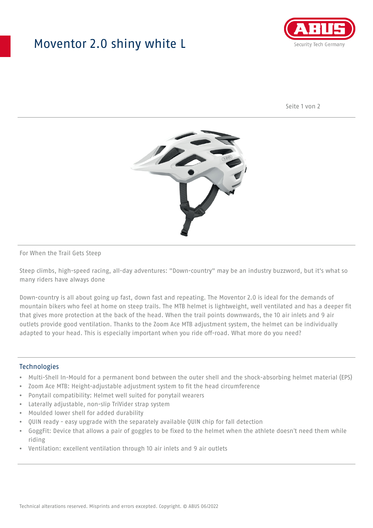## Moventor 2.0 shiny white L



Seite 1 von 2



#### For When the Trail Gets Steep

Steep climbs, high-speed racing, all-day adventures: "Down-country" may be an industry buzzword, but it's what so many riders have always done

Down-country is all about going up fast, down fast and repeating. The Moventor 2.0 is ideal for the demands of mountain bikers who feel at home on steep trails. The MTB helmet is lightweight, well ventilated and has a deeper fit that gives more protection at the back of the head. When the trail points downwards, the 10 air inlets and 9 air outlets provide good ventilation. Thanks to the Zoom Ace MTB adjustment system, the helmet can be individually adapted to your head. This is especially important when you ride off-road. What more do you need?

#### **Technologies**

- Multi-Shell In-Mould for a permanent bond between the outer shell and the shock-absorbing helmet material (EPS)
- Zoom Ace MTB: Height-adjustable adjustment system to fit the head circumference
- Ponytail compatibility: Helmet well suited for ponytail wearers
- Laterally adjustable, non-slip TriVider strap system
- Moulded lower shell for added durability
- QUIN ready easy upgrade with the separately available QUIN chip for fall detection
- GoggFit: Device that allows a pair of goggles to be fixed to the helmet when the athlete doesn't need them while riding
- Ventilation: excellent ventilation through 10 air inlets and 9 air outlets